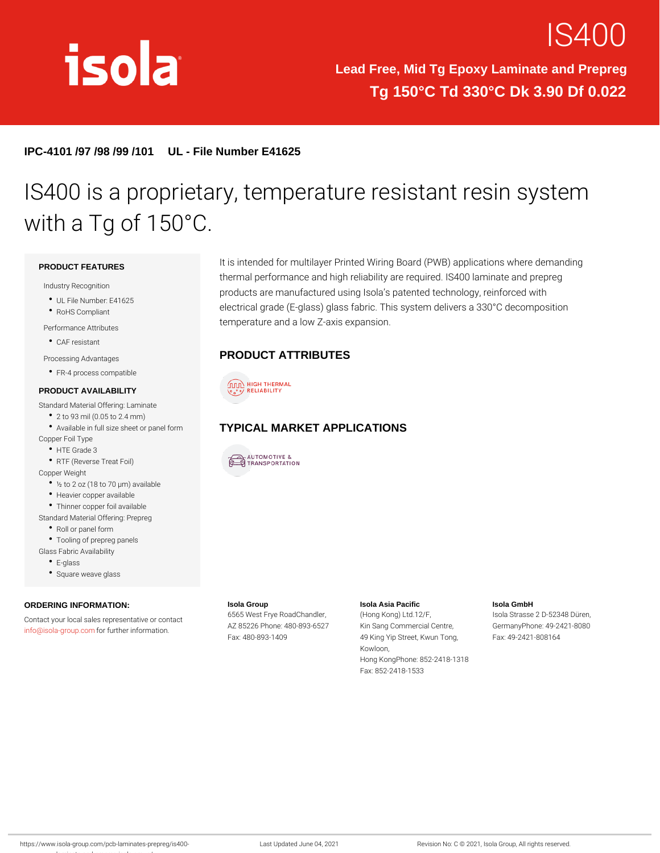# **IS40**

Lead Free, Mid Tg Epoxy Laminate and Prepreg Tg 150°C Td 330°C Dk 3.90 Df 0.022

IPC-4101 /97 /98 /99 /101 UL - File Number E41625

## IS400 is a proprietary, temperature res with a Tg of 150°C.

PRODUCT FEATURES

Industry Recognition

UL File Number: E41625

RoHS Compliant

Performance Attributes

- CAF resistant
- Processing Advantages
- FR-4 process compatible

#### PRODUCT AVAILABILITY

It is intended for multilayer Printed Wiring Board (PWB) applications thermal performance and high reliability are required. IS400 lam products are manufactured using Isola s patented technology, r electrical grade (E-glass) glass fabric. This system delivers a temperature and a low Z-axis expansion.

#### PRODUCT ATTRIBUTES

Standard Material Offering: Laminate 2 to 93 mil (0.05 to 2.4 mm) Available in full size sheet or paYPIGALmMARKET APPLICATIONS Copper Foil Type HTE Grade 3 RTF (Reverse Treat Foil)

Copper Weight

- ½ to 2 oz (18 to 70 µm) available
- Heavier copper available
- Thinner copper foil available
- Standard Material Offering: Prepreg
	- Roll or panel form
	- Tooling of prepreg panels
- Glass Fabric Availability
	- E-glass
	- Square weave glass

ORDERING INFORMATION: Contact your local sales representative of contact Frye RoadChandlemg Kong) Ltd.12/F,  $info@isola-groflop.$  $info@isola-groflop.$   $domher information$ . Isola Group AZ 85226 Phone: 480-893K652Sang Commercial CenGreer, many Phone: 49-2421-8080 Fax: 480-893-1409 Isola Asia Pacific 49 King Yip Street, Kwun FTaoxn: g 49-2421-808164 Isola GmbH Isola Strasse 2 D-52348 Düren,

Kowloon, Hong KongPhone: 852-2418-1318 Fax: 852-2418-1533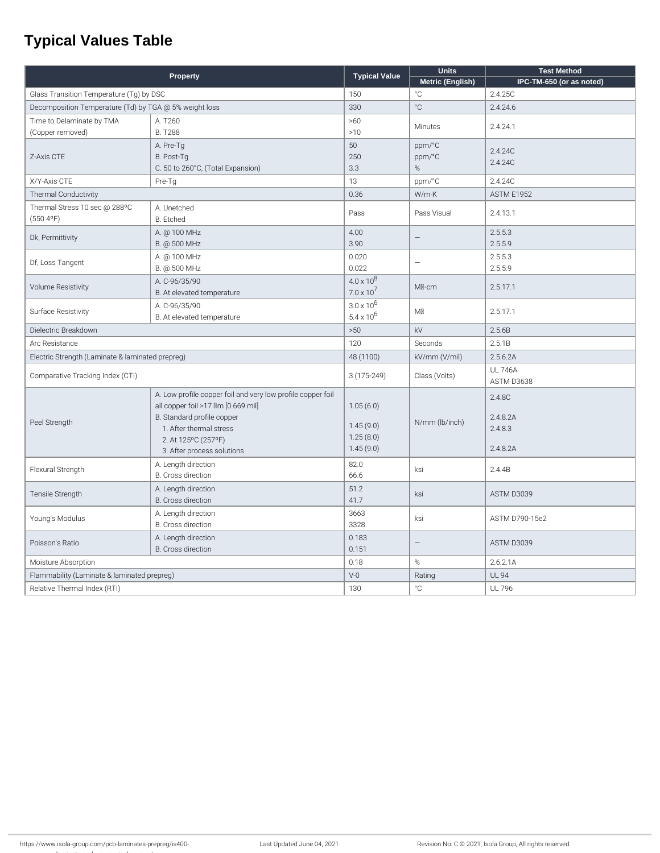### **Typical Values Table**

| Property                                               |                                                             | <b>Typical Value</b> | <b>Units</b>             | <b>Test Method</b>           |
|--------------------------------------------------------|-------------------------------------------------------------|----------------------|--------------------------|------------------------------|
|                                                        |                                                             |                      | Metric (English)         | IPC-TM-650 (or as noted)     |
| Glass Transition Temperature (Tg) by DSC               |                                                             | 150                  | °C                       | 2.4.25C                      |
| Decomposition Temperature (Td) by TGA @ 5% weight loss |                                                             | 330                  | °C                       | 2.4.24.6                     |
| Time to Delaminate by TMA                              | A. T260                                                     | >60                  | <b>Minutes</b>           | 2.4.24.1                     |
| (Copper removed)                                       | <b>B. T288</b>                                              | >10                  |                          |                              |
| Z-Axis CTE                                             | A. Pre-Tg                                                   | 50                   | ppm/°C                   | 2.4.24C                      |
|                                                        | B. Post-Tg                                                  | 250                  | ppm/°C                   | 2.4.24C                      |
|                                                        | C. 50 to 260°C, (Total Expansion)                           | 3.3                  | %                        |                              |
| X/Y-Axis CTE                                           | Pre-Tg                                                      | 13                   | ppm/°C                   | 2.4.24C                      |
| <b>Thermal Conductivity</b>                            |                                                             | 0.36                 | W/m·K                    | ASTM E1952                   |
| Thermal Stress 10 sec @ 288°C                          | A. Unetched                                                 | Pass                 | Pass Visual              | 2.4.13.1                     |
| $(550.4^{\circ}F)$                                     | B. Etched                                                   |                      |                          |                              |
| Dk, Permittivity                                       | A. @ 100 MHz                                                | 4.00                 |                          | 2.5.5.3                      |
|                                                        | B. @ 500 MHz                                                | 3.90                 |                          | 2.5.5.9                      |
| Df, Loss Tangent                                       | A. @ 100 MHz                                                | 0.020                | $\overline{\phantom{0}}$ | 2.5.5.3                      |
|                                                        | B. @ 500 MHz                                                | 0.022                |                          | 2.5.5.9                      |
| <b>Volume Resistivity</b>                              | A. C-96/35/90                                               | $4.0 \times 10^{8}$  | M <sub>M</sub> -cm       | 2.5.17.1                     |
|                                                        | B. At elevated temperature                                  | $7.0 \times 10^{7}$  |                          |                              |
| Surface Resistivity                                    | A. C-96/35/90                                               | $3.0 \times 10^{6}$  | $M\boxtimes$             | 2.5.17.1                     |
|                                                        | B. At elevated temperature                                  | $5.4 \times 10^{6}$  |                          |                              |
| Dielectric Breakdown                                   |                                                             | >50                  | kV                       | 2.5.6B                       |
| Arc Resistance                                         |                                                             | 120                  | Seconds                  | 2.5.1B                       |
| Electric Strength (Laminate & laminated prepreg)       |                                                             | 48 (1100)            | kV/mm (V/mil)            | 2.5.6.2A                     |
| Comparative Tracking Index (CTI)                       |                                                             | 3 (175-249)          | Class (Volts)            | <b>UL 746A</b><br>ASTM D3638 |
| Peel Strength                                          | A. Low profile copper foil and very low profile copper foil |                      | N/mm (lb/inch)           | 2.4.8C                       |
|                                                        | all copper foil >17 \m [0.669 mil]                          | 1.05(6.0)            |                          |                              |
|                                                        | B. Standard profile copper                                  |                      |                          | 2.4.8.2A                     |
|                                                        | 1. After thermal stress                                     | 1.45(9.0)            |                          | 2.4.8.3                      |
|                                                        | 2. At 125°C (257°F)                                         | 1.25(8.0)            |                          |                              |
|                                                        | 3. After process solutions                                  | 1.45(9.0)            |                          | 2.4.8.2A                     |
| Flexural Strength                                      | A. Length direction                                         | 82.0                 | ksi                      | 2.4.4B                       |
|                                                        | <b>B.</b> Cross direction                                   | 66.6                 |                          |                              |
| Tensile Strength                                       | A. Length direction                                         | 51.2                 | ksi                      | ASTM D3039                   |
|                                                        | B. Cross direction                                          | 41.7                 |                          |                              |
| Young's Modulus                                        | A. Length direction                                         | 3663                 | ksi                      | ASTM D790-15e2               |
|                                                        | B. Cross direction                                          | 3328                 |                          |                              |
| Poisson's Ratio                                        | A. Length direction                                         | 0.183                | $\equiv$                 | ASTM D3039                   |
|                                                        | <b>B.</b> Cross direction                                   | 0.151                |                          |                              |
| Moisture Absorption                                    |                                                             | 0.18                 | %                        | 2.6.2.1A                     |
| Flammability (Laminate & laminated prepreg)            |                                                             | $V-0$                | Rating                   | <b>UL 94</b>                 |
| Relative Thermal Index (RTI)                           |                                                             | 130                  | ۰C                       | <b>UL 796</b>                |